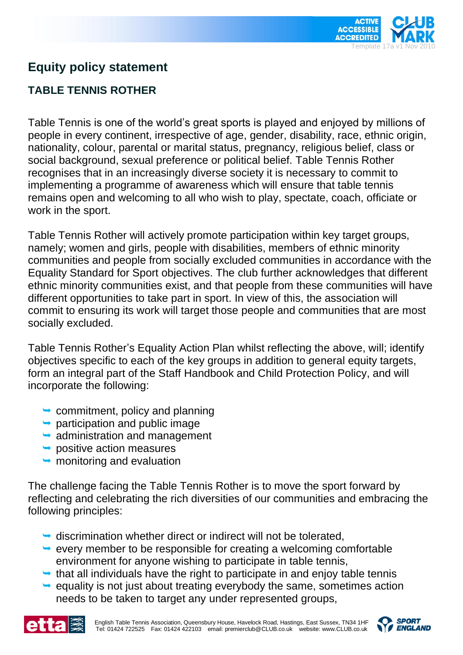

## **Equity policy statement**

## **TABLE TENNIS ROTHER**

Table Tennis is one of the world's great sports is played and enjoyed by millions of people in every continent, irrespective of age, gender, disability, race, ethnic origin, nationality, colour, parental or marital status, pregnancy, religious belief, class or social background, sexual preference or political belief. Table Tennis Rother recognises that in an increasingly diverse society it is necessary to commit to implementing a programme of awareness which will ensure that table tennis remains open and welcoming to all who wish to play, spectate, coach, officiate or work in the sport.

Table Tennis Rother will actively promote participation within key target groups, namely; women and girls, people with disabilities, members of ethnic minority communities and people from socially excluded communities in accordance with the Equality Standard for Sport objectives. The club further acknowledges that different ethnic minority communities exist, and that people from these communities will have different opportunities to take part in sport. In view of this, the association will commit to ensuring its work will target those people and communities that are most socially excluded.

Table Tennis Rother's Equality Action Plan whilst reflecting the above, will; identify objectives specific to each of the key groups in addition to general equity targets, form an integral part of the Staff Handbook and Child Protection Policy, and will incorporate the following:

- $\rightarrow$  commitment, policy and planning
- $\rightarrow$  participation and public image
- $\rightarrow$  administration and management
- $\rightarrow$  positive action measures
- $\rightarrow$  monitoring and evaluation

The challenge facing the Table Tennis Rother is to move the sport forward by reflecting and celebrating the rich diversities of our communities and embracing the following principles:

- $\rightarrow$  discrimination whether direct or indirect will not be tolerated,
- $\rightarrow$  every member to be responsible for creating a welcoming comfortable environment for anyone wishing to participate in table tennis,
- $\rightarrow$  that all individuals have the right to participate in and enjoy table tennis
- $\rightarrow$  equality is not just about treating everybody the same, sometimes action needs to be taken to target any under represented groups,